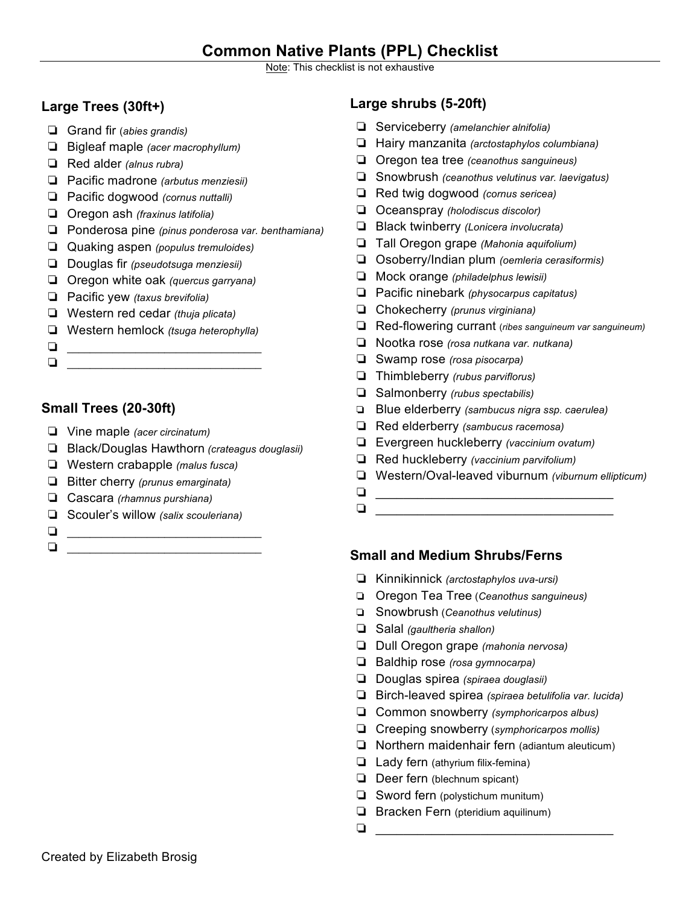# **Common Native Plants (PPL) Checklist**

Note: This checklist is not exhaustive

### **Large Trees (30ft+)**

- ❏ Grand fir (*abies grandis)*
- ❏ Bigleaf maple *(acer macrophyllum)*
- ❏ Red alder *(alnus rubra)*
- ❏ Pacific madrone *(arbutus menziesii)*
- ❏ Pacific dogwood *(cornus nuttalli)*
- ❏ Oregon ash *(fraxinus latifolia)*
- ❏ Ponderosa pine *(pinus ponderosa var. benthamiana)*
- ❏ Quaking aspen *(populus tremuloides)*
- ❏ Douglas fir *(pseudotsuga menziesii)*
- ❏ Oregon white oak *(quercus garryana)*
- ❏ Pacific yew *(taxus brevifolia)*
- ❏ Western red cedar *(thuja plicata)*
- ❏ Western hemlock *(tsuga heterophylla)*
- ❏ \_\_\_\_\_\_\_\_\_\_\_\_\_\_\_\_\_\_\_\_\_\_\_\_\_\_\_\_\_\_\_\_\_\_
- ❏ \_\_\_\_\_\_\_\_\_\_\_\_\_\_\_\_\_\_\_\_\_\_\_\_\_\_\_\_\_\_\_\_\_\_

## **Small Trees (20-30ft)**

- ❏ Vine maple *(acer circinatum)*
- ❏ Black/Douglas Hawthorn *(crateagus douglasii)*
- ❏ Western crabapple *(malus fusca)*
- ❏ Bitter cherry *(prunus emarginata)*
- ❏ Cascara *(rhamnus purshiana)*
- ❏ Scouler's willow *(salix scouleriana)*
- ❏ \_\_\_\_\_\_\_\_\_\_\_\_\_\_\_\_\_\_\_\_\_\_\_\_\_\_\_\_\_\_\_\_\_\_ ❏ \_\_\_\_\_\_\_\_\_\_\_\_\_\_\_\_\_\_\_\_\_\_\_\_\_\_\_\_\_\_\_\_\_\_

## **Large shrubs (5-20ft)**

- ❏ Serviceberry *(amelanchier alnifolia)*
- ❏ Hairy manzanita *(arctostaphylos columbiana)*
- ❏ Oregon tea tree *(ceanothus sanguineus)*
- ❏ Snowbrush *(ceanothus velutinus var. laevigatus)*
- ❏ Red twig dogwood *(cornus sericea)*
- ❏ Oceanspray *(holodiscus discolor)*
- ❏ Black twinberry *(Lonicera involucrata)*
- ❏ Tall Oregon grape *(Mahonia aquifolium)*
- ❏ Osoberry/Indian plum *(oemleria cerasiformis)*
- ❏ Mock orange *(philadelphus lewisii)*
- ❏ Pacific ninebark *(physocarpus capitatus)*
- ❏ Chokecherry *(prunus virginiana)*
- ❏ Red-flowering currant (*ribes sanguineum var sanguineum)*
- ❏ Nootka rose *(rosa nutkana var. nutkana)*
- ❏ Swamp rose *(rosa pisocarpa)*
- ❏ Thimbleberry *(rubus parviflorus)*
- ❏ Salmonberry *(rubus spectabilis)*
- ❏ Blue elderberry *(sambucus nigra ssp. caerulea)*
- ❏ Red elderberry *(sambucus racemosa)*
- ❏ Evergreen huckleberry *(vaccinium ovatum)*
- ❏ Red huckleberry *(vaccinium parvifolium)*
- ❏ Western/Oval-leaved viburnum *(viburnum ellipticum)*
- ❏ \_\_\_\_\_\_\_\_\_\_\_\_\_\_\_\_\_\_\_\_\_\_\_\_\_\_\_\_\_\_\_\_\_\_ ❏ \_\_\_\_\_\_\_\_\_\_\_\_\_\_\_\_\_\_\_\_\_\_\_\_\_\_\_\_\_\_\_\_\_\_

#### **Small and Medium Shrubs/Ferns**

- ❏ Kinnikinnick *(arctostaphylos uva-ursi)*
- ❏ Oregon Tea Tree (*Ceanothus sanguineus)*
- ❏ Snowbrush (*Ceanothus velutinus)*
- ❏ Salal *(gaultheria shallon)*
- ❏ Dull Oregon grape *(mahonia nervosa)*
- ❏ Baldhip rose *(rosa gymnocarpa)*
- ❏ Douglas spirea *(spiraea douglasii)*
- ❏ Birch-leaved spirea *(spiraea betulifolia var. lucida)*
- ❏ Common snowberry *(symphoricarpos albus)*
- ❏ Creeping snowberry (*symphoricarpos mollis)*
- ❏ Northern maidenhair fern (adiantum aleuticum)
- ❏ Lady fern (athyrium filix-femina)
- ❏ Deer fern (blechnum spicant)
- ❏ Sword fern (polystichum munitum)
- ❏ Bracken Fern (pteridium aquilinum)